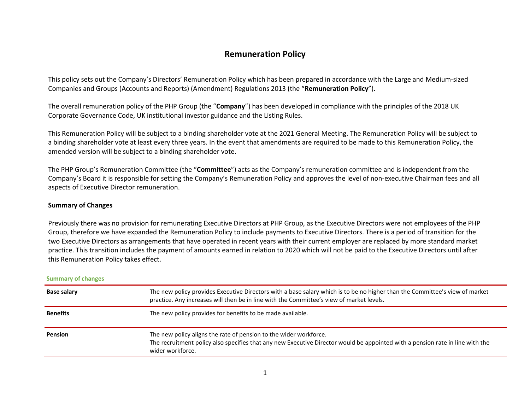# **Remuneration Policy**

This policy sets out the Company's Directors' Remuneration Policy which has been prepared in accordance with the Large and Medium-sized Companies and Groups (Accounts and Reports) (Amendment) Regulations 2013 (the "**Remuneration Policy**").

The overall remuneration policy of the PHP Group (the "**Company**") has been developed in compliance with the principles of the 2018 UK Corporate Governance Code, UK institutional investor guidance and the Listing Rules.

This Remuneration Policy will be subject to a binding shareholder vote at the 2021 General Meeting. The Remuneration Policy will be subject to a binding shareholder vote at least every three years. In the event that amendments are required to be made to this Remuneration Policy, the amended version will be subject to a binding shareholder vote.

The PHP Group's Remuneration Committee (the "**Committee**") acts as the Company's remuneration committee and is independent from the Company's Board it is responsible for setting the Company's Remuneration Policy and approves the level of non-executive Chairman fees and all aspects of Executive Director remuneration.

# **Summary of Changes**

Previously there was no provision for remunerating Executive Directors at PHP Group, as the Executive Directors were not employees of the PHP Group, therefore we have expanded the Remuneration Policy to include payments to Executive Directors. There is a period of transition for the two Executive Directors as arrangements that have operated in recent years with their current employer are replaced by more standard market practice. This transition includes the payment of amounts earned in relation to 2020 which will not be paid to the Executive Directors until after this Remuneration Policy takes effect.

| <b>Summary of changes</b> |                                                                                                                                                                                                                         |  |
|---------------------------|-------------------------------------------------------------------------------------------------------------------------------------------------------------------------------------------------------------------------|--|
| <b>Base salary</b>        | The new policy provides Executive Directors with a base salary which is to be no higher than the Committee's view of market<br>practice. Any increases will then be in line with the Committee's view of market levels. |  |
| <b>Benefits</b>           | The new policy provides for benefits to be made available.                                                                                                                                                              |  |
| <b>Pension</b>            | The new policy aligns the rate of pension to the wider workforce.<br>The recruitment policy also specifies that any new Executive Director would be appointed with a pension rate in line with the<br>wider workforce.  |  |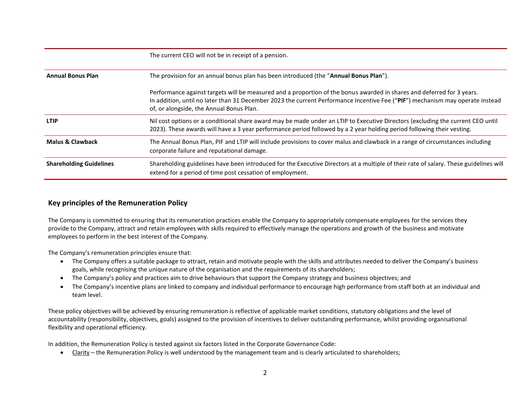|                                | The current CEO will not be in receipt of a pension.                                                                                                                                                                                                                                                |  |  |
|--------------------------------|-----------------------------------------------------------------------------------------------------------------------------------------------------------------------------------------------------------------------------------------------------------------------------------------------------|--|--|
| <b>Annual Bonus Plan</b>       | The provision for an annual bonus plan has been introduced (the "Annual Bonus Plan").                                                                                                                                                                                                               |  |  |
|                                | Performance against targets will be measured and a proportion of the bonus awarded in shares and deferred for 3 years.<br>In addition, until no later than 31 December 2023 the current Performance Incentive Fee ("PIF") mechanism may operate instead<br>of, or alongside, the Annual Bonus Plan. |  |  |
| <b>LTIP</b>                    | Nil cost options or a conditional share award may be made under an LTIP to Executive Directors (excluding the current CEO until<br>2023). These awards will have a 3 year performance period followed by a 2 year holding period following their vesting.                                           |  |  |
| <b>Malus &amp; Clawback</b>    | The Annual Bonus Plan, PIF and LTIP will include provisions to cover malus and clawback in a range of circumstances including<br>corporate failure and reputational damage.                                                                                                                         |  |  |
| <b>Shareholding Guidelines</b> | Shareholding guidelines have been introduced for the Executive Directors at a multiple of their rate of salary. These guidelines will<br>extend for a period of time post cessation of employment.                                                                                                  |  |  |

# **Key principles of the Remuneration Policy**

The Company is committed to ensuring that its remuneration practices enable the Company to appropriately compensate employees for the services they provide to the Company, attract and retain employees with skills required to effectively manage the operations and growth of the business and motivate employees to perform in the best interest of the Company.

The Company's remuneration principles ensure that:

- The Company offers a suitable package to attract, retain and motivate people with the skills and attributes needed to deliver the Company's business goals, while recognising the unique nature of the organisation and the requirements of its shareholders;
- The Company's policy and practices aim to drive behaviours that support the Company strategy and business objectives; and
- The Company's incentive plans are linked to company and individual performance to encourage high performance from staff both at an individual and team level.

These policy objectives will be achieved by ensuring remuneration is reflective of applicable market conditions, statutory obligations and the level of accountability (responsibility, objectives, goals) assigned to the provision of incentives to deliver outstanding performance, whilst providing organisational flexibility and operational efficiency.

In addition, the Remuneration Policy is tested against six factors listed in the Corporate Governance Code:

• Clarity – the Remuneration Policy is well understood by the management team and is clearly articulated to shareholders;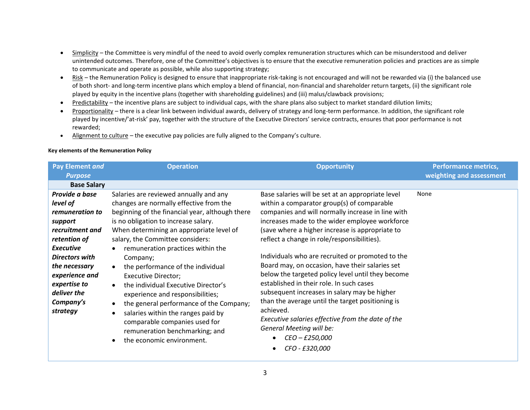- Simplicity the Committee is very mindful of the need to avoid overly complex remuneration structures which can be misunderstood and deliver unintended outcomes. Therefore, one of the Committee's objectives is to ensure that the executive remuneration policies and practices are as simple to communicate and operate as possible, while also supporting strategy;
- Risk the Remuneration Policy is designed to ensure that inappropriate risk-taking is not encouraged and will not be rewarded via (i) the balanced use of both short- and long-term incentive plans which employ a blend of financial, non-financial and shareholder return targets, (ii) the significant role played by equity in the incentive plans (together with shareholding guidelines) and (iii) malus/clawback provisions;
- Predictability the incentive plans are subject to individual caps, with the share plans also subject to market standard dilution limits;
- Proportionality there is a clear link between individual awards, delivery of strategy and long-term performance. In addition, the significant role played by incentive/'at-risk' pay, together with the structure of the Executive Directors' service contracts, ensures that poor performance is not rewarded;
- Alignment to culture the executive pay policies are fully aligned to the Company's culture.

# **Key elements of the Remuneration Policy**

| <b>Pay Element and</b><br><b>Purpose</b>                                                                                                                                    | <b>Operation</b>                                                                                                                                                                                                                                                                                                                                                                              | <b>Opportunity</b>                                                                                                                                                                                                                                                                                                                                                                                                                                                   | <b>Performance metrics,</b><br>weighting and assessment |
|-----------------------------------------------------------------------------------------------------------------------------------------------------------------------------|-----------------------------------------------------------------------------------------------------------------------------------------------------------------------------------------------------------------------------------------------------------------------------------------------------------------------------------------------------------------------------------------------|----------------------------------------------------------------------------------------------------------------------------------------------------------------------------------------------------------------------------------------------------------------------------------------------------------------------------------------------------------------------------------------------------------------------------------------------------------------------|---------------------------------------------------------|
| <b>Base Salary</b>                                                                                                                                                          |                                                                                                                                                                                                                                                                                                                                                                                               |                                                                                                                                                                                                                                                                                                                                                                                                                                                                      |                                                         |
| Provide a base<br>level of<br>remuneration to<br>support<br>recruitment and<br>retention of<br><b>Executive</b><br><b>Directors with</b><br>the necessary<br>experience and | Salaries are reviewed annually and any<br>changes are normally effective from the<br>beginning of the financial year, although there<br>is no obligation to increase salary.<br>When determining an appropriate level of<br>salary, the Committee considers:<br>remuneration practices within the<br>Company;<br>the performance of the individual<br>$\bullet$<br><b>Executive Director;</b> | Base salaries will be set at an appropriate level<br>within a comparator group(s) of comparable<br>companies and will normally increase in line with<br>increases made to the wider employee workforce<br>(save where a higher increase is appropriate to<br>reflect a change in role/responsibilities).<br>Individuals who are recruited or promoted to the<br>Board may, on occasion, have their salaries set<br>below the targeted policy level until they become | None                                                    |
| expertise to<br>deliver the<br>Company's<br>strategy                                                                                                                        | the individual Executive Director's<br>$\bullet$<br>experience and responsibilities;<br>the general performance of the Company;<br>salaries within the ranges paid by<br>$\bullet$<br>comparable companies used for<br>remuneration benchmarking; and<br>the economic environment.                                                                                                            | established in their role. In such cases<br>subsequent increases in salary may be higher<br>than the average until the target positioning is<br>achieved.<br>Executive salaries effective from the date of the<br>General Meeting will be:<br>CEO - £250,000<br>CFO - £320,000                                                                                                                                                                                       |                                                         |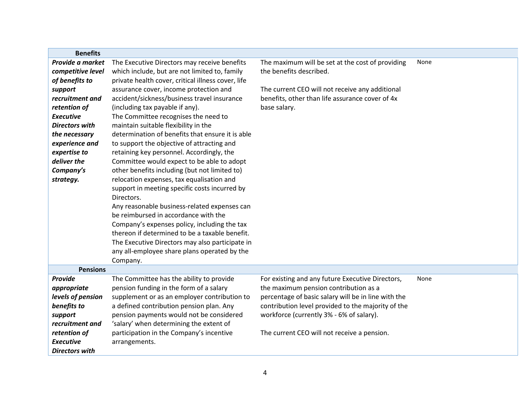| <b>Benefits</b>       |                                                    |                                                     |      |
|-----------------------|----------------------------------------------------|-----------------------------------------------------|------|
| Provide a market      | The Executive Directors may receive benefits       | The maximum will be set at the cost of providing    | None |
| competitive level     | which include, but are not limited to, family      | the benefits described.                             |      |
| of benefits to        | private health cover, critical illness cover, life |                                                     |      |
| support               | assurance cover, income protection and             | The current CEO will not receive any additional     |      |
| recruitment and       | accident/sickness/business travel insurance        | benefits, other than life assurance cover of 4x     |      |
| retention of          | (including tax payable if any).                    | base salary.                                        |      |
| <b>Executive</b>      | The Committee recognises the need to               |                                                     |      |
| <b>Directors with</b> | maintain suitable flexibility in the               |                                                     |      |
| the necessary         | determination of benefits that ensure it is able   |                                                     |      |
| experience and        | to support the objective of attracting and         |                                                     |      |
| expertise to          | retaining key personnel. Accordingly, the          |                                                     |      |
| deliver the           | Committee would expect to be able to adopt         |                                                     |      |
| Company's             | other benefits including (but not limited to)      |                                                     |      |
| strategy.             | relocation expenses, tax equalisation and          |                                                     |      |
|                       | support in meeting specific costs incurred by      |                                                     |      |
|                       | Directors.                                         |                                                     |      |
|                       | Any reasonable business-related expenses can       |                                                     |      |
|                       | be reimbursed in accordance with the               |                                                     |      |
|                       | Company's expenses policy, including the tax       |                                                     |      |
|                       | thereon if determined to be a taxable benefit.     |                                                     |      |
|                       | The Executive Directors may also participate in    |                                                     |      |
|                       | any all-employee share plans operated by the       |                                                     |      |
|                       | Company.                                           |                                                     |      |
| <b>Pensions</b>       |                                                    |                                                     |      |
| Provide               | The Committee has the ability to provide           | For existing and any future Executive Directors,    | None |
| appropriate           | pension funding in the form of a salary            | the maximum pension contribution as a               |      |
| levels of pension     | supplement or as an employer contribution to       | percentage of basic salary will be in line with the |      |
| benefits to           | a defined contribution pension plan. Any           | contribution level provided to the majority of the  |      |
| support               | pension payments would not be considered           | workforce (currently 3% - 6% of salary).            |      |
| recruitment and       | 'salary' when determining the extent of            |                                                     |      |
| retention of          | participation in the Company's incentive           | The current CEO will not receive a pension.         |      |
| <b>Executive</b>      | arrangements.                                      |                                                     |      |
| <b>Directors with</b> |                                                    |                                                     |      |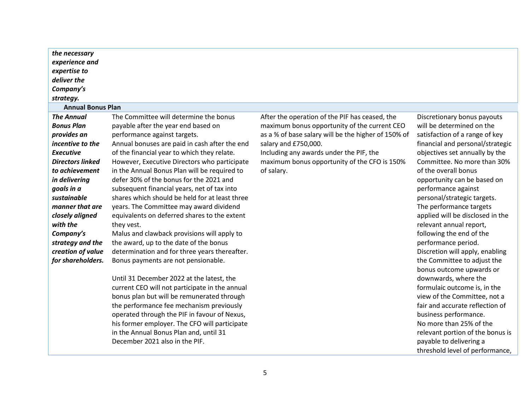| the necessary            |                                                |                                                     |                                  |
|--------------------------|------------------------------------------------|-----------------------------------------------------|----------------------------------|
| experience and           |                                                |                                                     |                                  |
| expertise to             |                                                |                                                     |                                  |
| deliver the              |                                                |                                                     |                                  |
| Company's                |                                                |                                                     |                                  |
| strategy.                |                                                |                                                     |                                  |
| <b>Annual Bonus Plan</b> |                                                |                                                     |                                  |
| <b>The Annual</b>        | The Committee will determine the bonus         | After the operation of the PIF has ceased, the      | Discretionary bonus payouts      |
| <b>Bonus Plan</b>        | payable after the year end based on            | maximum bonus opportunity of the current CEO        | will be determined on the        |
| provides an              | performance against targets.                   | as a % of base salary will be the higher of 150% of | satisfaction of a range of key   |
| incentive to the         | Annual bonuses are paid in cash after the end  | salary and £750,000.                                | financial and personal/strategic |
| <b>Executive</b>         | of the financial year to which they relate.    | Including any awards under the PIF, the             | objectives set annually by the   |
| <b>Directors linked</b>  | However, Executive Directors who participate   | maximum bonus opportunity of the CFO is 150%        | Committee. No more than 30%      |
| to achievement           | in the Annual Bonus Plan will be required to   | of salary.                                          | of the overall bonus             |
| in delivering            | defer 30% of the bonus for the 2021 and        |                                                     | opportunity can be based on      |
| goals in a               | subsequent financial years, net of tax into    |                                                     | performance against              |
| sustainable              | shares which should be held for at least three |                                                     | personal/strategic targets.      |
| manner that are          | years. The Committee may award dividend        |                                                     | The performance targets          |
| closely aligned          | equivalents on deferred shares to the extent   |                                                     | applied will be disclosed in the |
| with the                 | they vest.                                     |                                                     | relevant annual report,          |
| Company's                | Malus and clawback provisions will apply to    |                                                     | following the end of the         |
| strategy and the         | the award, up to the date of the bonus         |                                                     | performance period.              |
| creation of value        | determination and for three years thereafter.  |                                                     | Discretion will apply, enabling  |
| for shareholders.        | Bonus payments are not pensionable.            |                                                     | the Committee to adjust the      |
|                          |                                                |                                                     | bonus outcome upwards or         |
|                          | Until 31 December 2022 at the latest, the      |                                                     | downwards, where the             |
|                          | current CEO will not participate in the annual |                                                     | formulaic outcome is, in the     |
|                          | bonus plan but will be remunerated through     |                                                     | view of the Committee, not a     |
|                          | the performance fee mechanism previously       |                                                     | fair and accurate reflection of  |
|                          | operated through the PIF in favour of Nexus,   |                                                     | business performance.            |
|                          | his former employer. The CFO will participate  |                                                     | No more than 25% of the          |

5

relevant portion of the bonus is

threshold level of performance,

payable to delivering a

in the Annual Bonus Plan and, until 31

December 2021 also in the PIF.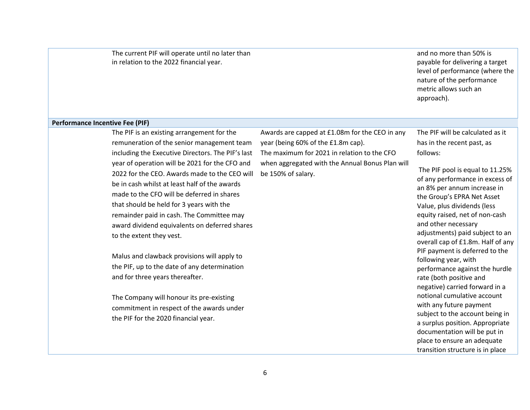The current PIF will operate until no later than in relation to the 2022 financial year.

and no more than 50% is payable for delivering a target level of performance (where the nature of the performance metric allows such an approach).

#### **Performance Incentive Fee (PIF)**

The PIF is an existing arrangement for the remuneration of the senior management team including the Executive Directors. The PIF's last year of operation will be 2021 for the CFO and 2022 for the CEO. Awards made to the CEO will be in cash whilst at least half of the awards made to the CFO will be deferred in shares that should be held for 3 years with the remainder paid in cash. The Committee may award dividend equivalents on deferred shares to the extent they vest.

Malus and clawback provisions will apply to the PIF, up to the date of any determination and for three years thereafter.

The Company will honour its pre-existing commitment in respect of the awards under the PIF for the 2020 financial year.

Awards are capped at £1.08m for the CEO in any year (being 60% of the £1.8m cap). The maximum for 2021 in relation to the CFO when aggregated with the Annual Bonus Plan will be 150% of salary.

The PIF will be calculated as it has in the recent past, as follows:

The PIF pool is equal to 11.25% of any performance in excess of an 8% per annum increase in the Group's EPRA Net Asset Value, plus dividends (less equity raised, net of non-cash and other necessary adjustments) paid subject to an overall cap of £1.8m. Half of any PIF payment is deferred to the following year, with performance against the hurdle rate (both positive and negative) carried forward in a notional cumulative account with any future payment subject to the account being in a surplus position. Appropriate documentation will be put in place to ensure an adequate transition structure is in place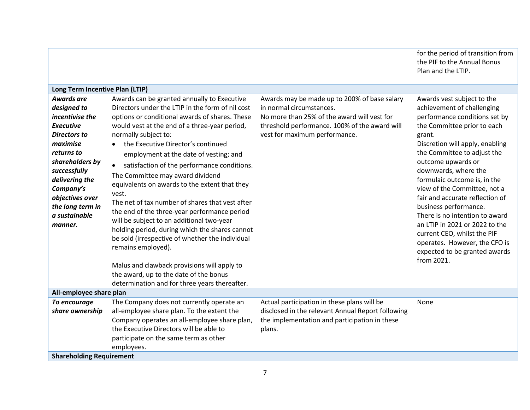|                                                                                                                                                                                                                                                        |                                                                                                                                                                                                                                                                                                                                                                                                                                                                                                                                                                                                                                                                                                                                                                                                                                                                                           |                                                                                                                                                                                                           | for the period of transition from<br>the PIF to the Annual Bonus<br>Plan and the LTIP.                                                                                                                                                                                                                                                                                                                                                                                                                                                                            |
|--------------------------------------------------------------------------------------------------------------------------------------------------------------------------------------------------------------------------------------------------------|-------------------------------------------------------------------------------------------------------------------------------------------------------------------------------------------------------------------------------------------------------------------------------------------------------------------------------------------------------------------------------------------------------------------------------------------------------------------------------------------------------------------------------------------------------------------------------------------------------------------------------------------------------------------------------------------------------------------------------------------------------------------------------------------------------------------------------------------------------------------------------------------|-----------------------------------------------------------------------------------------------------------------------------------------------------------------------------------------------------------|-------------------------------------------------------------------------------------------------------------------------------------------------------------------------------------------------------------------------------------------------------------------------------------------------------------------------------------------------------------------------------------------------------------------------------------------------------------------------------------------------------------------------------------------------------------------|
| Long Term Incentive Plan (LTIP)                                                                                                                                                                                                                        |                                                                                                                                                                                                                                                                                                                                                                                                                                                                                                                                                                                                                                                                                                                                                                                                                                                                                           |                                                                                                                                                                                                           |                                                                                                                                                                                                                                                                                                                                                                                                                                                                                                                                                                   |
| Awards are<br>designed to<br>incentivise the<br><b>Executive</b><br><b>Directors to</b><br>maximise<br>returns to<br>shareholders by<br>successfully<br>delivering the<br>Company's<br>objectives over<br>the long term in<br>a sustainable<br>manner. | Awards can be granted annually to Executive<br>Directors under the LTIP in the form of nil cost<br>options or conditional awards of shares. These<br>would vest at the end of a three-year period,<br>normally subject to:<br>the Executive Director's continued<br>employment at the date of vesting; and<br>satisfaction of the performance conditions.<br>$\bullet$<br>The Committee may award dividend<br>equivalents on awards to the extent that they<br>vest.<br>The net of tax number of shares that vest after<br>the end of the three-year performance period<br>will be subject to an additional two-year<br>holding period, during which the shares cannot<br>be sold (irrespective of whether the individual<br>remains employed).<br>Malus and clawback provisions will apply to<br>the award, up to the date of the bonus<br>determination and for three years thereafter. | Awards may be made up to 200% of base salary<br>in normal circumstances.<br>No more than 25% of the award will vest for<br>threshold performance. 100% of the award will<br>vest for maximum performance. | Awards vest subject to the<br>achievement of challenging<br>performance conditions set by<br>the Committee prior to each<br>grant.<br>Discretion will apply, enabling<br>the Committee to adjust the<br>outcome upwards or<br>downwards, where the<br>formulaic outcome is, in the<br>view of the Committee, not a<br>fair and accurate reflection of<br>business performance.<br>There is no intention to award<br>an LTIP in 2021 or 2022 to the<br>current CEO, whilst the PIF<br>operates. However, the CFO is<br>expected to be granted awards<br>from 2021. |
| All-employee share plan                                                                                                                                                                                                                                |                                                                                                                                                                                                                                                                                                                                                                                                                                                                                                                                                                                                                                                                                                                                                                                                                                                                                           |                                                                                                                                                                                                           |                                                                                                                                                                                                                                                                                                                                                                                                                                                                                                                                                                   |
| To encourage<br>share ownership                                                                                                                                                                                                                        | The Company does not currently operate an<br>all-employee share plan. To the extent the<br>Company operates an all-employee share plan,<br>the Executive Directors will be able to<br>participate on the same term as other<br>employees.                                                                                                                                                                                                                                                                                                                                                                                                                                                                                                                                                                                                                                                 | Actual participation in these plans will be<br>disclosed in the relevant Annual Report following<br>the implementation and participation in these<br>plans.                                               | None                                                                                                                                                                                                                                                                                                                                                                                                                                                                                                                                                              |
| <b>Shareholding Requirement</b>                                                                                                                                                                                                                        |                                                                                                                                                                                                                                                                                                                                                                                                                                                                                                                                                                                                                                                                                                                                                                                                                                                                                           |                                                                                                                                                                                                           |                                                                                                                                                                                                                                                                                                                                                                                                                                                                                                                                                                   |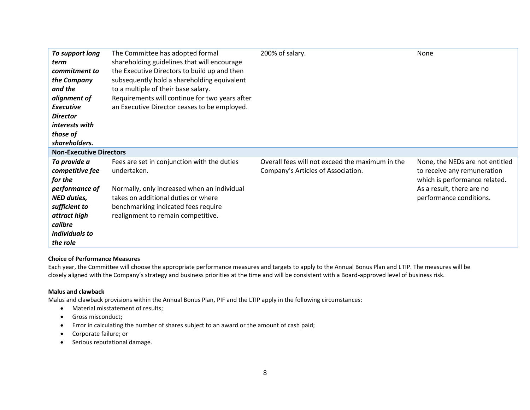| To support long                | The Committee has adopted formal               | 200% of salary.                                 | None                            |
|--------------------------------|------------------------------------------------|-------------------------------------------------|---------------------------------|
| term                           | shareholding guidelines that will encourage    |                                                 |                                 |
| commitment to                  | the Executive Directors to build up and then   |                                                 |                                 |
| the Company                    | subsequently hold a shareholding equivalent    |                                                 |                                 |
| and the                        | to a multiple of their base salary.            |                                                 |                                 |
| alignment of                   | Requirements will continue for two years after |                                                 |                                 |
| <b>Executive</b>               | an Executive Director ceases to be employed.   |                                                 |                                 |
| <b>Director</b>                |                                                |                                                 |                                 |
| interests with                 |                                                |                                                 |                                 |
| those of                       |                                                |                                                 |                                 |
| shareholders.                  |                                                |                                                 |                                 |
| <b>Non-Executive Directors</b> |                                                |                                                 |                                 |
| To provide a                   | Fees are set in conjunction with the duties    | Overall fees will not exceed the maximum in the | None, the NEDs are not entitled |
| competitive fee                | undertaken.                                    | Company's Articles of Association.              | to receive any remuneration     |
| for the                        |                                                |                                                 | which is performance related.   |
| performance of                 | Normally, only increased when an individual    |                                                 | As a result, there are no       |
| <b>NED duties,</b>             | takes on additional duties or where            |                                                 | performance conditions.         |
| sufficient to                  | benchmarking indicated fees require            |                                                 |                                 |
| attract high                   | realignment to remain competitive.             |                                                 |                                 |
| calibre                        |                                                |                                                 |                                 |
| individuals to                 |                                                |                                                 |                                 |
| the role                       |                                                |                                                 |                                 |

# **Choice of Performance Measures**

Each year, the Committee will choose the appropriate performance measures and targets to apply to the Annual Bonus Plan and LTIP. The measures will be closely aligned with the Company's strategy and business priorities at the time and will be consistent with a Board-approved level of business risk.

# **Malus and clawback**

Malus and clawback provisions within the Annual Bonus Plan, PIF and the LTIP apply in the following circumstances:

- Material misstatement of results;
- Gross misconduct;
- Error in calculating the number of shares subject to an award or the amount of cash paid;
- Corporate failure; or
- Serious reputational damage.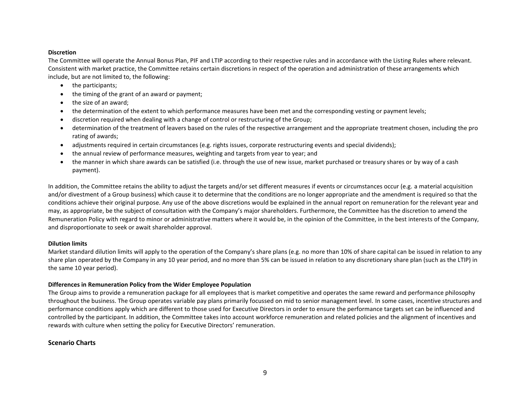# **Discretion**

The Committee will operate the Annual Bonus Plan, PIF and LTIP according to their respective rules and in accordance with the Listing Rules where relevant. Consistent with market practice, the Committee retains certain discretions in respect of the operation and administration of these arrangements which include, but are not limited to, the following:

- the participants;
- the timing of the grant of an award or payment;
- the size of an award;
- the determination of the extent to which performance measures have been met and the corresponding vesting or payment levels;
- discretion required when dealing with a change of control or restructuring of the Group;
- determination of the treatment of leavers based on the rules of the respective arrangement and the appropriate treatment chosen, including the pro rating of awards;
- adjustments required in certain circumstances (e.g. rights issues, corporate restructuring events and special dividends);
- the annual review of performance measures, weighting and targets from year to year; and
- the manner in which share awards can be satisfied (i.e. through the use of new issue, market purchased or treasury shares or by way of a cash payment).

In addition, the Committee retains the ability to adjust the targets and/or set different measures if events or circumstances occur (e.g. a material acquisition and/or divestment of a Group business) which cause it to determine that the conditions are no longer appropriate and the amendment is required so that the conditions achieve their original purpose. Any use of the above discretions would be explained in the annual report on remuneration for the relevant year and may, as appropriate, be the subject of consultation with the Company's major shareholders. Furthermore, the Committee has the discretion to amend the Remuneration Policy with regard to minor or administrative matters where it would be, in the opinion of the Committee, in the best interests of the Company, and disproportionate to seek or await shareholder approval.

# **Dilution limits**

Market standard dilution limits will apply to the operation of the Company's share plans (e.g. no more than 10% of share capital can be issued in relation to any share plan operated by the Company in any 10 year period, and no more than 5% can be issued in relation to any discretionary share plan (such as the LTIP) in the same 10 year period).

# **Differences in Remuneration Policy from the Wider Employee Population**

The Group aims to provide a remuneration package for all employees that is market competitive and operates the same reward and performance philosophy throughout the business. The Group operates variable pay plans primarily focussed on mid to senior management level. In some cases, incentive structures and performance conditions apply which are different to those used for Executive Directors in order to ensure the performance targets set can be influenced and controlled by the participant. In addition, the Committee takes into account workforce remuneration and related policies and the alignment of incentives and rewards with culture when setting the policy for Executive Directors' remuneration.

# **Scenario Charts**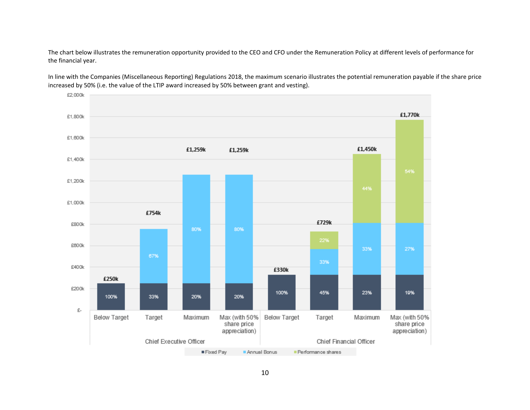The chart below illustrates the remuneration opportunity provided to the CEO and CFO under the Remuneration Policy at different levels of performance for the financial year.



In line with the Companies (Miscellaneous Reporting) Regulations 2018, the maximum scenario illustrates the potential remuneration payable if the share price increased by 50% (i.e. the value of the LTIP award increased by 50% between grant and vesting).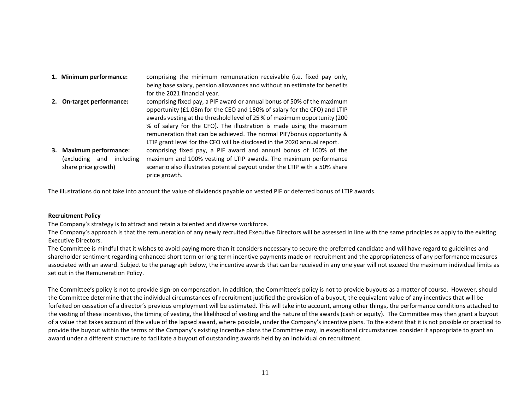| 1. Minimum performance:                                                          | comprising the minimum remuneration receivable (i.e. fixed pay only,<br>being base salary, pension allowances and without an estimate for benefits<br>for the 2021 financial year.                                                                                                                                                                                                                                                                             |
|----------------------------------------------------------------------------------|----------------------------------------------------------------------------------------------------------------------------------------------------------------------------------------------------------------------------------------------------------------------------------------------------------------------------------------------------------------------------------------------------------------------------------------------------------------|
| On-target performance:                                                           | comprising fixed pay, a PIF award or annual bonus of 50% of the maximum<br>opportunity (£1.08m for the CEO and 150% of salary for the CFO) and LTIP<br>awards vesting at the threshold level of 25 % of maximum opportunity (200<br>% of salary for the CFO). The illustration is made using the maximum<br>remuneration that can be achieved. The normal PIF/bonus opportunity &<br>LTIP grant level for the CFO will be disclosed in the 2020 annual report. |
| 3. Maximum performance:<br>(excluding<br>including<br>and<br>share price growth) | comprising fixed pay, a PIF award and annual bonus of 100% of the<br>maximum and 100% vesting of LTIP awards. The maximum performance<br>scenario also illustrates potential payout under the LTIP with a 50% share<br>price growth.                                                                                                                                                                                                                           |

The illustrations do not take into account the value of dividends payable on vested PIF or deferred bonus of LTIP awards.

#### **Recruitment Policy**

The Company's strategy is to attract and retain a talented and diverse workforce.

The Company's approach is that the remuneration of any newly recruited Executive Directors will be assessed in line with the same principles as apply to the existing Executive Directors.

The Committee is mindful that it wishes to avoid paying more than it considers necessary to secure the preferred candidate and will have regard to guidelines and shareholder sentiment regarding enhanced short term or long term incentive payments made on recruitment and the appropriateness of any performance measures associated with an award. Subject to the paragraph below, the incentive awards that can be received in any one year will not exceed the maximum individual limits as set out in the Remuneration Policy.

The Committee's policy is not to provide sign-on compensation. In addition, the Committee's policy is not to provide buyouts as a matter of course. However, should the Committee determine that the individual circumstances of recruitment justified the provision of a buyout, the equivalent value of any incentives that will be forfeited on cessation of a director's previous employment will be estimated. This will take into account, among other things, the performance conditions attached to the vesting of these incentives, the timing of vesting, the likelihood of vesting and the nature of the awards (cash or equity). The Committee may then grant a buyout of a value that takes account of the value of the lapsed award, where possible, under the Company's incentive plans. To the extent that it is not possible or practical to provide the buyout within the terms of the Company's existing incentive plans the Committee may, in exceptional circumstances consider it appropriate to grant an award under a different structure to facilitate a buyout of outstanding awards held by an individual on recruitment.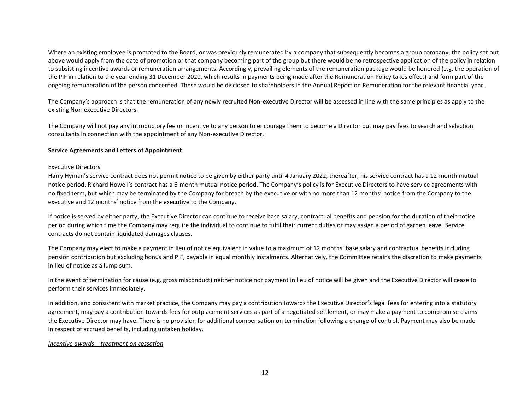Where an existing employee is promoted to the Board, or was previously remunerated by a company that subsequently becomes a group company, the policy set out above would apply from the date of promotion or that company becoming part of the group but there would be no retrospective application of the policy in relation to subsisting incentive awards or remuneration arrangements. Accordingly, prevailing elements of the remuneration package would be honored (e.g. the operation of the PIF in relation to the year ending 31 December 2020, which results in payments being made after the Remuneration Policy takes effect) and form part of the ongoing remuneration of the person concerned. These would be disclosed to shareholders in the Annual Report on Remuneration for the relevant financial year.

The Company's approach is that the remuneration of any newly recruited Non-executive Director will be assessed in line with the same principles as apply to the existing Non-executive Directors.

The Company will not pay any introductory fee or incentive to any person to encourage them to become a Director but may pay fees to search and selection consultants in connection with the appointment of any Non-executive Director.

# **Service Agreements and Letters of Appointment**

# Executive Directors

Harry Hyman's service contract does not permit notice to be given by either party until 4 January 2022, thereafter, his service contract has a 12-month mutual notice period. Richard Howell's contract has a 6-month mutual notice period. The Company's policy is for Executive Directors to have service agreements with no fixed term, but which may be terminated by the Company for breach by the executive or with no more than 12 months' notice from the Company to the executive and 12 months' notice from the executive to the Company.

If notice is served by either party, the Executive Director can continue to receive base salary, contractual benefits and pension for the duration of their notice period during which time the Company may require the individual to continue to fulfil their current duties or may assign a period of garden leave. Service contracts do not contain liquidated damages clauses.

The Company may elect to make a payment in lieu of notice equivalent in value to a maximum of 12 months' base salary and contractual benefits including pension contribution but excluding bonus and PIF, payable in equal monthly instalments. Alternatively, the Committee retains the discretion to make payments in lieu of notice as a lump sum.

In the event of termination for cause (e.g. gross misconduct) neither notice nor payment in lieu of notice will be given and the Executive Director will cease to perform their services immediately.

In addition, and consistent with market practice, the Company may pay a contribution towards the Executive Director's legal fees for entering into a statutory agreement, may pay a contribution towards fees for outplacement services as part of a negotiated settlement, or may make a payment to compromise claims the Executive Director may have. There is no provision for additional compensation on termination following a change of control. Payment may also be made in respect of accrued benefits, including untaken holiday.

# *Incentive awards – treatment on cessation*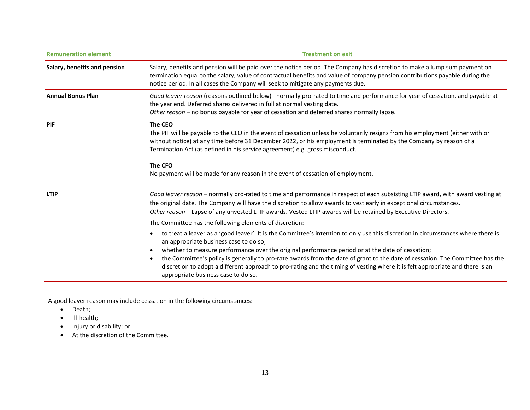| <b>Remuneration element</b>  | <b>Treatment on exit</b>                                                                                                                                                                                                                                                                                                                                                                                                                                                                                                                                                                                           |  |  |
|------------------------------|--------------------------------------------------------------------------------------------------------------------------------------------------------------------------------------------------------------------------------------------------------------------------------------------------------------------------------------------------------------------------------------------------------------------------------------------------------------------------------------------------------------------------------------------------------------------------------------------------------------------|--|--|
| Salary, benefits and pension | Salary, benefits and pension will be paid over the notice period. The Company has discretion to make a lump sum payment on<br>termination equal to the salary, value of contractual benefits and value of company pension contributions payable during the<br>notice period. In all cases the Company will seek to mitigate any payments due.                                                                                                                                                                                                                                                                      |  |  |
| <b>Annual Bonus Plan</b>     | Good leaver reason (reasons outlined below) – normally pro-rated to time and performance for year of cessation, and payable at<br>the year end. Deferred shares delivered in full at normal vesting date.<br>Other reason - no bonus payable for year of cessation and deferred shares normally lapse.                                                                                                                                                                                                                                                                                                             |  |  |
| PIF                          | The CEO<br>The PIF will be payable to the CEO in the event of cessation unless he voluntarily resigns from his employment (either with or<br>without notice) at any time before 31 December 2022, or his employment is terminated by the Company by reason of a<br>Termination Act (as defined in his service agreement) e.g. gross misconduct.<br>The CFO<br>No payment will be made for any reason in the event of cessation of employment.                                                                                                                                                                      |  |  |
| <b>LTIP</b>                  | Good leaver reason - normally pro-rated to time and performance in respect of each subsisting LTIP award, with award vesting at<br>the original date. The Company will have the discretion to allow awards to vest early in exceptional circumstances.<br>Other reason - Lapse of any unvested LTIP awards. Vested LTIP awards will be retained by Executive Directors.<br>The Committee has the following elements of discretion:                                                                                                                                                                                 |  |  |
|                              | to treat a leaver as a 'good leaver'. It is the Committee's intention to only use this discretion in circumstances where there is<br>$\bullet$<br>an appropriate business case to do so;<br>whether to measure performance over the original performance period or at the date of cessation;<br>the Committee's policy is generally to pro-rate awards from the date of grant to the date of cessation. The Committee has the<br>$\bullet$<br>discretion to adopt a different approach to pro-rating and the timing of vesting where it is felt appropriate and there is an<br>appropriate business case to do so. |  |  |

A good leaver reason may include cessation in the following circumstances:

- Death;
- Ill-health;
- Injury or disability; or
- At the discretion of the Committee.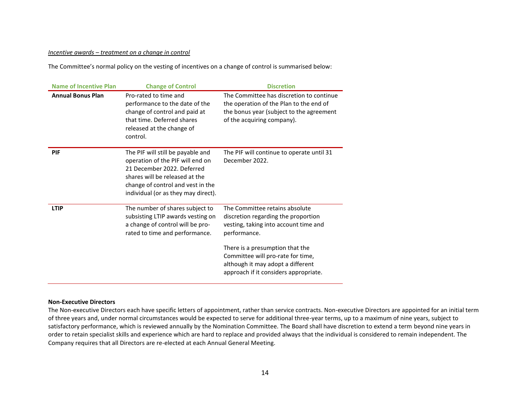#### *Incentive awards – treatment on a change in control*

The Committee's normal policy on the vesting of incentives on a change of control is summarised below:

| <b>Name of Incentive Plan</b> | <b>Change of Control</b>                                                                                                                                                                                          | <b>Discretion</b>                                                                                                                                                                                                                                                                    |
|-------------------------------|-------------------------------------------------------------------------------------------------------------------------------------------------------------------------------------------------------------------|--------------------------------------------------------------------------------------------------------------------------------------------------------------------------------------------------------------------------------------------------------------------------------------|
| <b>Annual Bonus Plan</b>      | Pro-rated to time and<br>performance to the date of the<br>change of control and paid at<br>that time. Deferred shares<br>released at the change of<br>control.                                                   | The Committee has discretion to continue<br>the operation of the Plan to the end of<br>the bonus year (subject to the agreement<br>of the acquiring company).                                                                                                                        |
| PIF                           | The PIF will still be payable and<br>operation of the PIF will end on<br>21 December 2022. Deferred<br>shares will be released at the<br>change of control and vest in the<br>individual (or as they may direct). | The PIF will continue to operate until 31<br>December 2022.                                                                                                                                                                                                                          |
| <b>LTIP</b>                   | The number of shares subject to<br>subsisting LTIP awards vesting on<br>a change of control will be pro-<br>rated to time and performance.                                                                        | The Committee retains absolute<br>discretion regarding the proportion<br>vesting, taking into account time and<br>performance.<br>There is a presumption that the<br>Committee will pro-rate for time,<br>although it may adopt a different<br>approach if it considers appropriate. |

#### **Non-Executive Directors**

The Non-executive Directors each have specific letters of appointment, rather than service contracts. Non-executive Directors are appointed for an initial term of three years and, under normal circumstances would be expected to serve for additional three-year terms, up to a maximum of nine years, subject to satisfactory performance, which is reviewed annually by the Nomination Committee. The Board shall have discretion to extend a term beyond nine years in order to retain specialist skills and experience which are hard to replace and provided always that the individual is considered to remain independent. The Company requires that all Directors are re-elected at each Annual General Meeting.